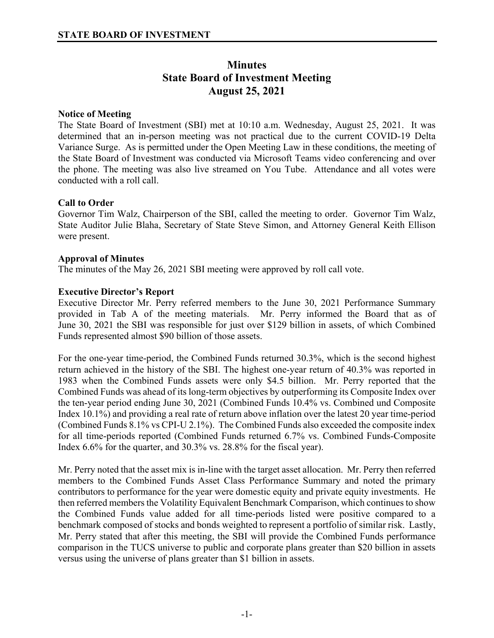# **Minutes State Board of Investment Meeting August 25, 2021**

# **Notice of Meeting**

The State Board of Investment (SBI) met at 10:10 a.m. Wednesday, August 25, 2021. It was determined that an in-person meeting was not practical due to the current COVID-19 Delta Variance Surge. As is permitted under the Open Meeting Law in these conditions, the meeting of the State Board of Investment was conducted via Microsoft Teams video conferencing and over the phone. The meeting was also live streamed on You Tube. Attendance and all votes were conducted with a roll call.

# **Call to Order**

Governor Tim Walz, Chairperson of the SBI, called the meeting to order. Governor Tim Walz, State Auditor Julie Blaha, Secretary of State Steve Simon, and Attorney General Keith Ellison were present.

## **Approval of Minutes**

The minutes of the May 26, 2021 SBI meeting were approved by roll call vote.

# **Executive Director's Report**

Executive Director Mr. Perry referred members to the June 30, 2021 Performance Summary provided in Tab A of the meeting materials. Mr. Perry informed the Board that as of June 30, 2021 the SBI was responsible for just over \$129 billion in assets, of which Combined Funds represented almost \$90 billion of those assets.

For the one-year time-period, the Combined Funds returned 30.3%, which is the second highest return achieved in the history of the SBI. The highest one-year return of 40.3% was reported in 1983 when the Combined Funds assets were only \$4.5 billion. Mr. Perry reported that the Combined Funds was ahead of its long-term objectives by outperforming its Composite Index over the ten-year period ending June 30, 2021 (Combined Funds 10.4% vs. Combined und Composite Index 10.1%) and providing a real rate of return above inflation over the latest 20 year time-period (Combined Funds 8.1% vs CPI-U 2.1%). The Combined Funds also exceeded the composite index for all time-periods reported (Combined Funds returned 6.7% vs. Combined Funds-Composite Index 6.6% for the quarter, and 30.3% vs. 28.8% for the fiscal year).

Mr. Perry noted that the asset mix is in-line with the target asset allocation. Mr. Perry then referred members to the Combined Funds Asset Class Performance Summary and noted the primary contributors to performance for the year were domestic equity and private equity investments. He then referred members the Volatility Equivalent Benchmark Comparison, which continues to show the Combined Funds value added for all time-periods listed were positive compared to a benchmark composed of stocks and bonds weighted to represent a portfolio of similar risk. Lastly, Mr. Perry stated that after this meeting, the SBI will provide the Combined Funds performance comparison in the TUCS universe to public and corporate plans greater than \$20 billion in assets versus using the universe of plans greater than \$1 billion in assets.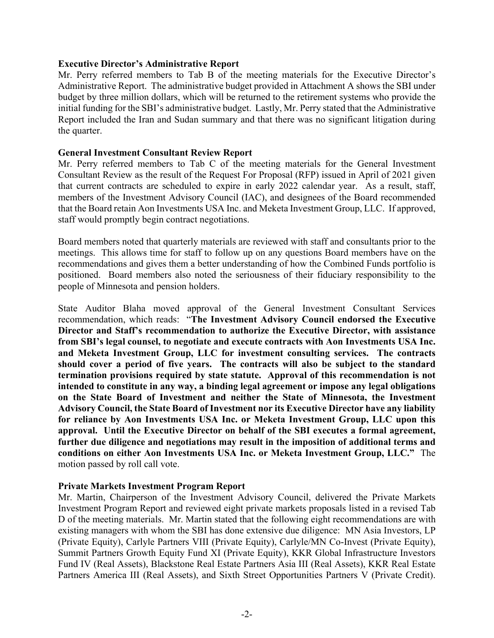#### **Executive Director's Administrative Report**

Mr. Perry referred members to Tab B of the meeting materials for the Executive Director's Administrative Report. The administrative budget provided in Attachment A shows the SBI under budget by three million dollars, which will be returned to the retirement systems who provide the initial funding for the SBI's administrative budget. Lastly, Mr. Perry stated that the Administrative Report included the Iran and Sudan summary and that there was no significant litigation during the quarter.

#### **General Investment Consultant Review Report**

Mr. Perry referred members to Tab C of the meeting materials for the General Investment Consultant Review as the result of the Request For Proposal (RFP) issued in April of 2021 given that current contracts are scheduled to expire in early 2022 calendar year. As a result, staff, members of the Investment Advisory Council (IAC), and designees of the Board recommended that the Board retain Aon Investments USA Inc. and Meketa Investment Group, LLC. If approved, staff would promptly begin contract negotiations.

Board members noted that quarterly materials are reviewed with staff and consultants prior to the meetings. This allows time for staff to follow up on any questions Board members have on the recommendations and gives them a better understanding of how the Combined Funds portfolio is positioned. Board members also noted the seriousness of their fiduciary responsibility to the people of Minnesota and pension holders.

State Auditor Blaha moved approval of the General Investment Consultant Services recommendation, which reads: "**The Investment Advisory Council endorsed the Executive Director and Staff's recommendation to authorize the Executive Director, with assistance from SBI's legal counsel, to negotiate and execute contracts with Aon Investments USA Inc. and Meketa Investment Group, LLC for investment consulting services. The contracts should cover a period of five years. The contracts will also be subject to the standard termination provisions required by state statute. Approval of this recommendation is not intended to constitute in any way, a binding legal agreement or impose any legal obligations on the State Board of Investment and neither the State of Minnesota, the Investment Advisory Council, the State Board of Investment nor its Executive Director have any liability for reliance by Aon Investments USA Inc. or Meketa Investment Group, LLC upon this approval. Until the Executive Director on behalf of the SBI executes a formal agreement, further due diligence and negotiations may result in the imposition of additional terms and conditions on either Aon Investments USA Inc. or Meketa Investment Group, LLC."** The motion passed by roll call vote.

## **Private Markets Investment Program Report**

Mr. Martin, Chairperson of the Investment Advisory Council, delivered the Private Markets Investment Program Report and reviewed eight private markets proposals listed in a revised Tab D of the meeting materials. Mr. Martin stated that the following eight recommendations are with existing managers with whom the SBI has done extensive due diligence: MN Asia Investors, LP (Private Equity), Carlyle Partners VIII (Private Equity), Carlyle/MN Co-Invest (Private Equity), Summit Partners Growth Equity Fund XI (Private Equity), KKR Global Infrastructure Investors Fund IV (Real Assets), Blackstone Real Estate Partners Asia III (Real Assets), KKR Real Estate Partners America III (Real Assets), and Sixth Street Opportunities Partners V (Private Credit).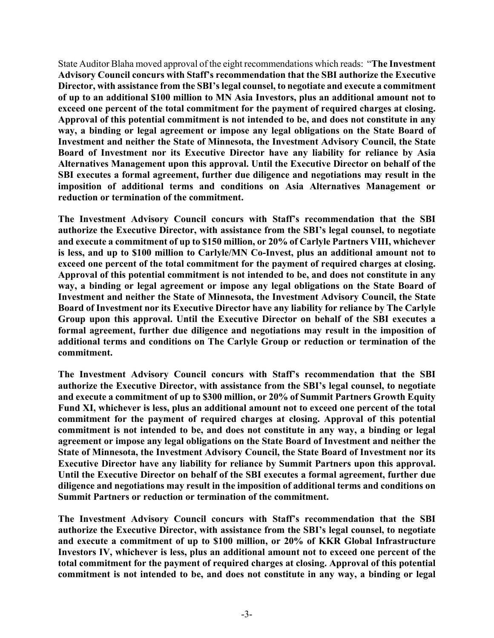State Auditor Blaha moved approval of the eight recommendations which reads: "**The Investment Advisory Council concurs with Staff's recommendation that the SBI authorize the Executive Director, with assistance from the SBI's legal counsel, to negotiate and execute a commitment of up to an additional \$100 million to MN Asia Investors, plus an additional amount not to exceed one percent of the total commitment for the payment of required charges at closing. Approval of this potential commitment is not intended to be, and does not constitute in any way, a binding or legal agreement or impose any legal obligations on the State Board of Investment and neither the State of Minnesota, the Investment Advisory Council, the State Board of Investment nor its Executive Director have any liability for reliance by Asia Alternatives Management upon this approval. Until the Executive Director on behalf of the SBI executes a formal agreement, further due diligence and negotiations may result in the imposition of additional terms and conditions on Asia Alternatives Management or reduction or termination of the commitment.** 

**The Investment Advisory Council concurs with Staff's recommendation that the SBI authorize the Executive Director, with assistance from the SBI's legal counsel, to negotiate and execute a commitment of up to \$150 million, or 20% of Carlyle Partners VIII, whichever is less, and up to \$100 million to Carlyle/MN Co-Invest, plus an additional amount not to exceed one percent of the total commitment for the payment of required charges at closing. Approval of this potential commitment is not intended to be, and does not constitute in any way, a binding or legal agreement or impose any legal obligations on the State Board of Investment and neither the State of Minnesota, the Investment Advisory Council, the State Board of Investment nor its Executive Director have any liability for reliance by The Carlyle Group upon this approval. Until the Executive Director on behalf of the SBI executes a formal agreement, further due diligence and negotiations may result in the imposition of additional terms and conditions on The Carlyle Group or reduction or termination of the commitment.** 

**The Investment Advisory Council concurs with Staff's recommendation that the SBI authorize the Executive Director, with assistance from the SBI's legal counsel, to negotiate and execute a commitment of up to \$300 million, or 20% of Summit Partners Growth Equity Fund XI, whichever is less, plus an additional amount not to exceed one percent of the total commitment for the payment of required charges at closing. Approval of this potential commitment is not intended to be, and does not constitute in any way, a binding or legal agreement or impose any legal obligations on the State Board of Investment and neither the State of Minnesota, the Investment Advisory Council, the State Board of Investment nor its Executive Director have any liability for reliance by Summit Partners upon this approval. Until the Executive Director on behalf of the SBI executes a formal agreement, further due diligence and negotiations may result in the imposition of additional terms and conditions on Summit Partners or reduction or termination of the commitment.** 

**The Investment Advisory Council concurs with Staff's recommendation that the SBI authorize the Executive Director, with assistance from the SBI's legal counsel, to negotiate and execute a commitment of up to \$100 million, or 20% of KKR Global Infrastructure Investors IV, whichever is less, plus an additional amount not to exceed one percent of the total commitment for the payment of required charges at closing. Approval of this potential commitment is not intended to be, and does not constitute in any way, a binding or legal**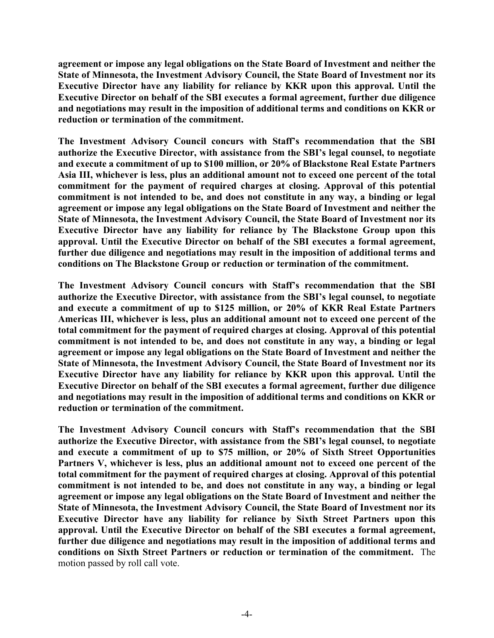**agreement or impose any legal obligations on the State Board of Investment and neither the State of Minnesota, the Investment Advisory Council, the State Board of Investment nor its Executive Director have any liability for reliance by KKR upon this approval. Until the Executive Director on behalf of the SBI executes a formal agreement, further due diligence and negotiations may result in the imposition of additional terms and conditions on KKR or reduction or termination of the commitment.** 

**The Investment Advisory Council concurs with Staff's recommendation that the SBI authorize the Executive Director, with assistance from the SBI's legal counsel, to negotiate and execute a commitment of up to \$100 million, or 20% of Blackstone Real Estate Partners Asia III, whichever is less, plus an additional amount not to exceed one percent of the total commitment for the payment of required charges at closing. Approval of this potential commitment is not intended to be, and does not constitute in any way, a binding or legal agreement or impose any legal obligations on the State Board of Investment and neither the State of Minnesota, the Investment Advisory Council, the State Board of Investment nor its Executive Director have any liability for reliance by The Blackstone Group upon this approval. Until the Executive Director on behalf of the SBI executes a formal agreement, further due diligence and negotiations may result in the imposition of additional terms and conditions on The Blackstone Group or reduction or termination of the commitment.** 

**The Investment Advisory Council concurs with Staff's recommendation that the SBI authorize the Executive Director, with assistance from the SBI's legal counsel, to negotiate and execute a commitment of up to \$125 million, or 20% of KKR Real Estate Partners Americas III, whichever is less, plus an additional amount not to exceed one percent of the total commitment for the payment of required charges at closing. Approval of this potential commitment is not intended to be, and does not constitute in any way, a binding or legal agreement or impose any legal obligations on the State Board of Investment and neither the State of Minnesota, the Investment Advisory Council, the State Board of Investment nor its Executive Director have any liability for reliance by KKR upon this approval. Until the Executive Director on behalf of the SBI executes a formal agreement, further due diligence and negotiations may result in the imposition of additional terms and conditions on KKR or reduction or termination of the commitment.** 

**The Investment Advisory Council concurs with Staff's recommendation that the SBI authorize the Executive Director, with assistance from the SBI's legal counsel, to negotiate and execute a commitment of up to \$75 million, or 20% of Sixth Street Opportunities Partners V, whichever is less, plus an additional amount not to exceed one percent of the total commitment for the payment of required charges at closing. Approval of this potential commitment is not intended to be, and does not constitute in any way, a binding or legal agreement or impose any legal obligations on the State Board of Investment and neither the State of Minnesota, the Investment Advisory Council, the State Board of Investment nor its Executive Director have any liability for reliance by Sixth Street Partners upon this approval. Until the Executive Director on behalf of the SBI executes a formal agreement, further due diligence and negotiations may result in the imposition of additional terms and conditions on Sixth Street Partners or reduction or termination of the commitment.** The motion passed by roll call vote.